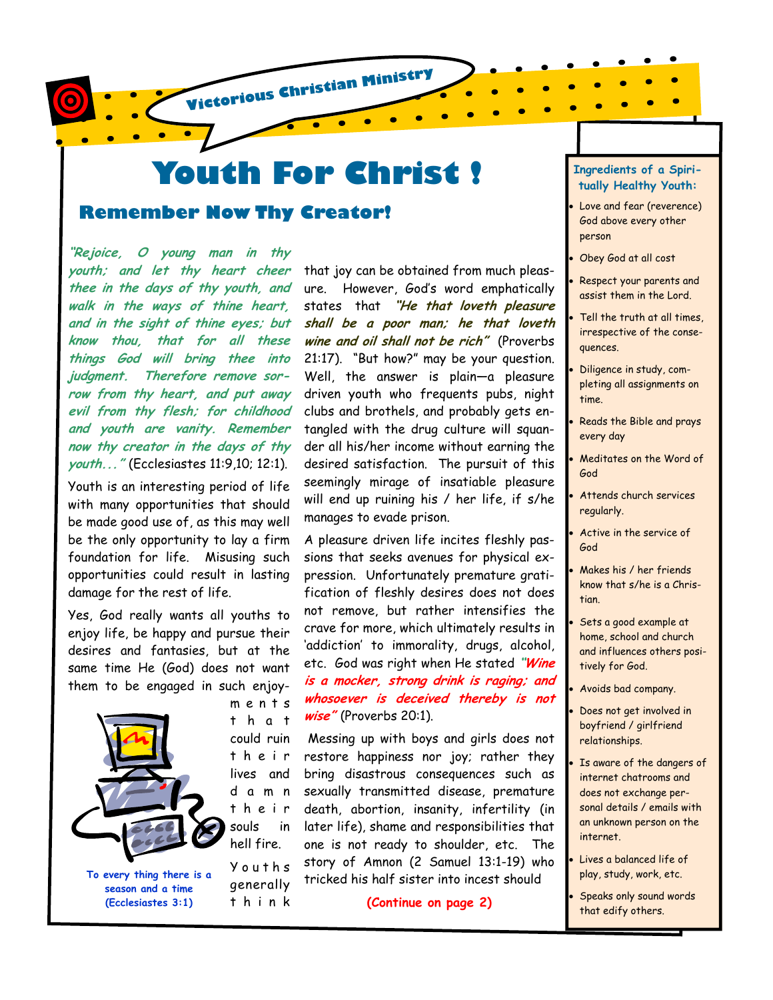

# **Youth For Christ !**

# **Remember Now Thy Creator!**

**"Rejoice, O young man in thy youth; and let thy heart cheer thee in the days of thy youth, and walk in the ways of thine heart, and in the sight of thine eyes; but know thou, that for all these things God will bring thee into judgment. Therefore remove sorrow from thy heart, and put away evil from thy flesh; for childhood and youth are vanity. Remember now thy creator in the days of thy youth..."** (Ecclesiastes 11:9,10; 12:1).

Youth is an interesting period of life with many opportunities that should be made good use of, as this may well be the only opportunity to lay a firm foundation for life. Misusing such opportunities could result in lasting damage for the rest of life.

Yes, God really wants all youths to enjoy life, be happy and pursue their desires and fantasies, but at the same time He (God) does not want them to be engaged in such enjoy-



**To every thing there is a season and a time (Ecclesiastes 3:1)** 

m e n t s t h a t could ruin t h e i r lives and d a m n t h e i r souls in hell fire. Y o u t h s

generally t h i n k

desired satisfaction. The pursuit of this seemingly mirage of insatiable pleasure will end up ruining his / her life, if s/he manages to evade prison. A pleasure driven life incites fleshly passions that seeks avenues for physical expression. Unfortunately premature gratification of fleshly desires does not does not remove, but rather intensifies the crave for more, which ultimately results in 'addiction' to immorality, drugs, alcohol,

etc. God was right when He stated **"Wine is a mocker, strong drink is raging; and whosoever is deceived thereby is not wise"** (Proverbs 20:1).

that joy can be obtained from much pleasure. However, God's word emphatically states that **"He that loveth pleasure shall be a poor man; he that loveth wine and oil shall not be rich"** (Proverbs 21:17). "But how?" may be your question. Well, the answer is plain—a pleasure driven youth who frequents pubs, night clubs and brothels, and probably gets entangled with the drug culture will squander all his/her income without earning the

 Messing up with boys and girls does not restore happiness nor joy; rather they bring disastrous consequences such as sexually transmitted disease, premature death, abortion, insanity, infertility (in later life), shame and responsibilities that one is not ready to shoulder, etc. The story of Amnon (2 Samuel 13:1-19) who tricked his half sister into incest should

**(Continue on page 2)** 

#### **Ingredients of a Spiritually Healthy Youth:**

Love and fear (reverence) God above every other person

- Obey God at all cost
- Respect your parents and assist them in the Lord.
- Tell the truth at all times. irrespective of the consequences.
- Diligence in study, completing all assignments on time.
- Reads the Bible and prays every day
- Meditates on the Word of God
- Attends church services regularly.
- Active in the service of God
- Makes his / her friends know that s/he is a Christian.
- Sets a good example at home, school and church and influences others positively for God.

• Avoids bad company.

- Does not get involved in boyfriend / girlfriend relationships.
- Is aware of the dangers of internet chatrooms and does not exchange personal details / emails with an unknown person on the internet.
- Lives a balanced life of play, study, work, etc.
- Speaks only sound words that edify others.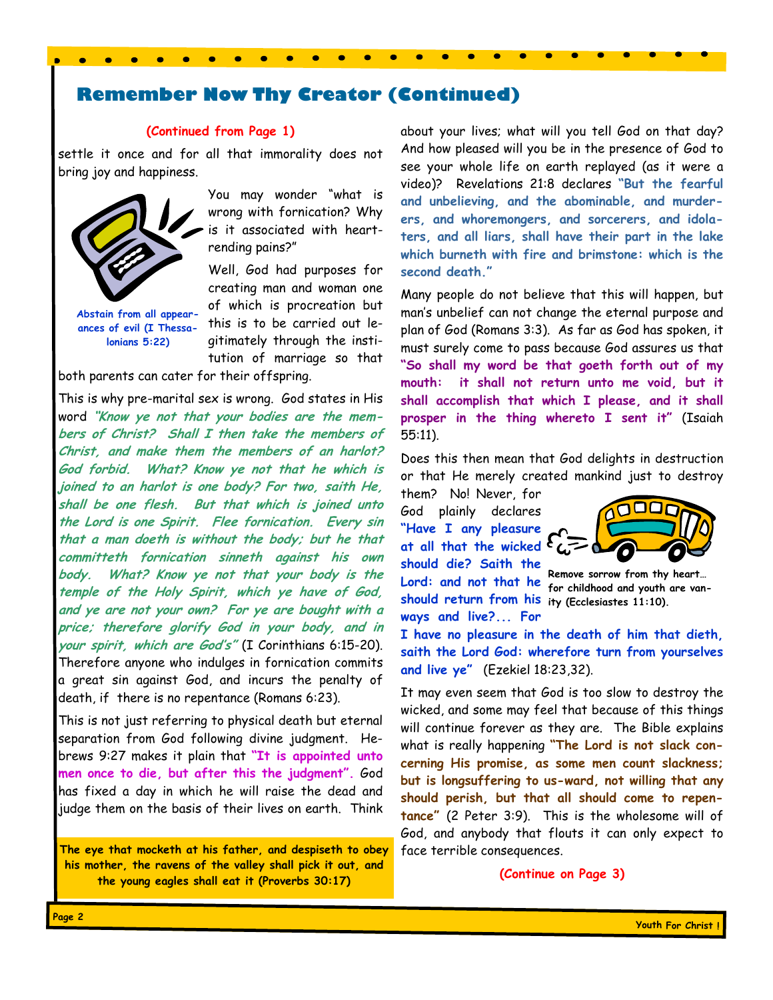# **Remember Now Thy Creator (Continued)**

#### **(Continued from Page 1)**

settle it once and for all that immorality does not bring joy and happiness.



**Abstain from all appearances of evil (I Thessalonians 5:22)** 

You may wonder "what is wrong with fornication? Why is it associated with heartrending pains?"

Well, God had purposes for creating man and woman one of which is procreation but this is to be carried out legitimately through the institution of marriage so that

both parents can cater for their offspring.

This is why pre-marital sex is wrong. God states in His word **"Know ye not that your bodies are the members of Christ? Shall I then take the members of Christ, and make them the members of an harlot? God forbid. What? Know ye not that he which is joined to an harlot is one body? For two, saith He, shall be one flesh. But that which is joined unto the Lord is one Spirit. Flee fornication. Every sin that a man doeth is without the body; but he that committeth fornication sinneth against his own body. What? Know ye not that your body is the temple of the Holy Spirit, which ye have of God, and ye are not your own? For ye are bought with a price; therefore glorify God in your body, and in your spirit, which are God's"** (I Corinthians 6:15-20). Therefore anyone who indulges in fornication commits a great sin against God, and incurs the penalty of death, if there is no repentance (Romans 6:23).

This is not just referring to physical death but eternal separation from God following divine judgment. Hebrews 9:27 makes it plain that **"It is appointed unto men once to die, but after this the judgment".** God has fixed a day in which he will raise the dead and judge them on the basis of their lives on earth. Think

**The eye that mocketh at his father, and despiseth to obey his mother, the ravens of the valley shall pick it out, and the young eagles shall eat it (Proverbs 30:17)** 

about your lives; what will you tell God on that day? And how pleased will you be in the presence of God to see your whole life on earth replayed (as it were a video)? Revelations 21:8 declares **"But the fearful and unbelieving, and the abominable, and murderers, and whoremongers, and sorcerers, and idolaters, and all liars, shall have their part in the lake which burneth with fire and brimstone: which is the second death."** 

Many people do not believe that this will happen, but man's unbelief can not change the eternal purpose and plan of God (Romans 3:3). As far as God has spoken, it must surely come to pass because God assures us that **"So shall my word be that goeth forth out of my mouth: it shall not return unto me void, but it shall accomplish that which I please, and it shall prosper in the thing whereto I sent it"** (Isaiah 55:11).

Does this then mean that God delights in destruction or that He merely created mankind just to destroy

them? No! Never, for God plainly declares **"Have I any pleasure at all that the wicked should die? Saith the Lord: and not that he Remove sorrow from thy heart… should return from his ity (Ecclesiastes 11:10). ways and live?... For** 



**for childhood and youth are van-**

**I have no pleasure in the death of him that dieth, saith the Lord God: wherefore turn from yourselves and live ye"** (Ezekiel 18:23,32).

It may even seem that God is too slow to destroy the wicked, and some may feel that because of this things will continue forever as they are. The Bible explains what is really happening **"The Lord is not slack concerning His promise, as some men count slackness; but is longsuffering to us-ward, not willing that any should perish, but that all should come to repentance"** (2 Peter 3:9). This is the wholesome will of God, and anybody that flouts it can only expect to face terrible consequences.

**(Continue on Page 3)**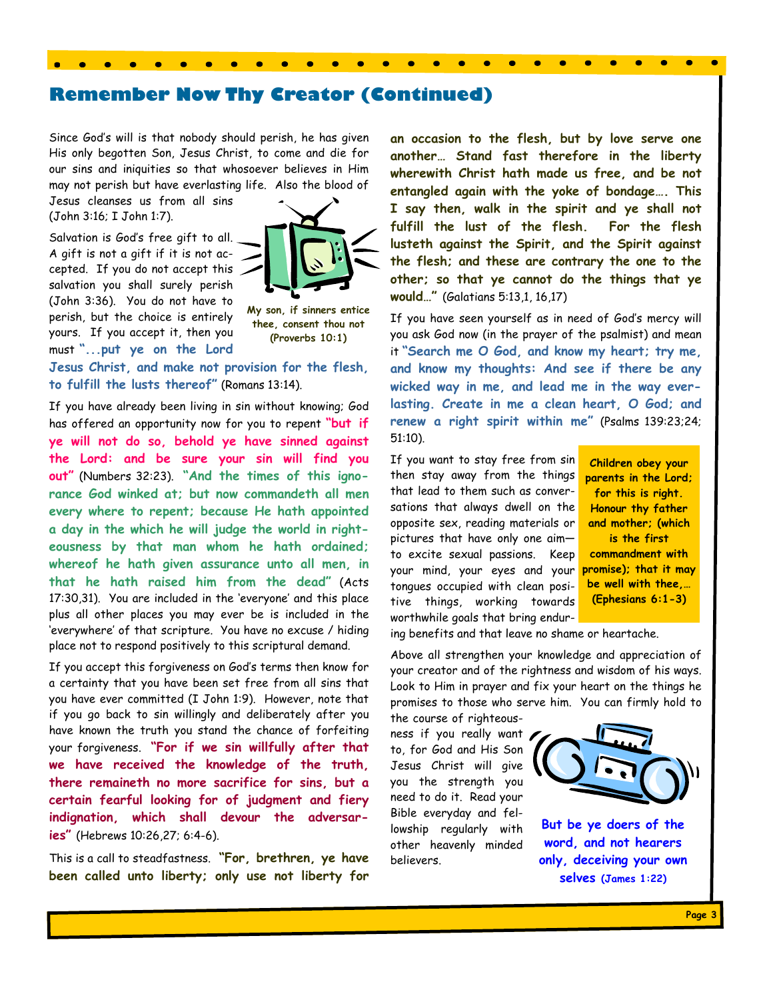# **Remember Now Thy Creator (Continued)**

Since God's will is that nobody should perish, he has given His only begotten Son, Jesus Christ, to come and die for our sins and iniquities so that whosoever believes in Him may not perish but have everlasting life. Also the blood of

Jesus cleanses us from all sins (John 3:16; I John 1:7).

Salvation is God's free gift to all. A gift is not a gift if it is not accepted. If you do not accept this salvation you shall surely perish (John 3:36). You do not have to perish, but the choice is entirely yours. If you accept it, then you must **"...put ye on the Lord** 



**My son, if sinners entice thee, consent thou not (Proverbs 10:1)** 

**Jesus Christ, and make not provision for the flesh, to fulfill the lusts thereof"** (Romans 13:14).

If you have already been living in sin without knowing; God has offered an opportunity now for you to repent **"but if ye will not do so, behold ye have sinned against the Lord: and be sure your sin will find you out"** (Numbers 32:23). **"And the times of this ignorance God winked at; but now commandeth all men every where to repent; because He hath appointed a day in the which he will judge the world in righteousness by that man whom he hath ordained; whereof he hath given assurance unto all men, in that he hath raised him from the dead"** (Acts 17:30,31). You are included in the 'everyone' and this place plus all other places you may ever be is included in the 'everywhere' of that scripture. You have no excuse / hiding place not to respond positively to this scriptural demand.

If you accept this forgiveness on God's terms then know for a certainty that you have been set free from all sins that you have ever committed (I John 1:9). However, note that if you go back to sin willingly and deliberately after you have known the truth you stand the chance of forfeiting your forgiveness. **"For if we sin willfully after that we have received the knowledge of the truth, there remaineth no more sacrifice for sins, but a certain fearful looking for of judgment and fiery indignation, which shall devour the adversaries"** (Hebrews 10:26,27; 6:4-6).

This is a call to steadfastness. **"For, brethren, ye have been called unto liberty; only use not liberty for** 

**an occasion to the flesh, but by love serve one another… Stand fast therefore in the liberty wherewith Christ hath made us free, and be not entangled again with the yoke of bondage…. This I say then, walk in the spirit and ye shall not fulfill the lust of the flesh. For the flesh lusteth against the Spirit, and the Spirit against the flesh; and these are contrary the one to the other; so that ye cannot do the things that ye would…"** (Galatians 5:13,1, 16,17)

If you have seen yourself as in need of God's mercy will you ask God now (in the prayer of the psalmist) and mean it **"Search me O God, and know my heart; try me, and know my thoughts: And see if there be any wicked way in me, and lead me in the way everlasting. Create in me a clean heart, O God; and renew a right spirit within me"** (Psalms 139:23;24; 51:10).

If you want to stay free from sin then stay away from the things that lead to them such as conversations that always dwell on the opposite sex, reading materials or pictures that have only one aim to excite sexual passions. Keep your mind, your eyes and your tongues occupied with clean positive things, working towards worthwhile goals that bring endur-

**Children obey your parents in the Lord; for this is right. Honour thy father and mother; (which is the first commandment with promise); that it may be well with thee,… (Ephesians 6:1-3)** 

ing benefits and that leave no shame or heartache.

Above all strengthen your knowledge and appreciation of your creator and of the rightness and wisdom of his ways. Look to Him in prayer and fix your heart on the things he promises to those who serve him. You can firmly hold to

the course of righteousness if you really want to, for God and His Son Jesus Christ will give you the strength you need to do it. Read your Bible everyday and fellowship regularly with other heavenly minded believers.



**But be ye doers of the word, and not hearers only, deceiving your own selves (James 1:22)**